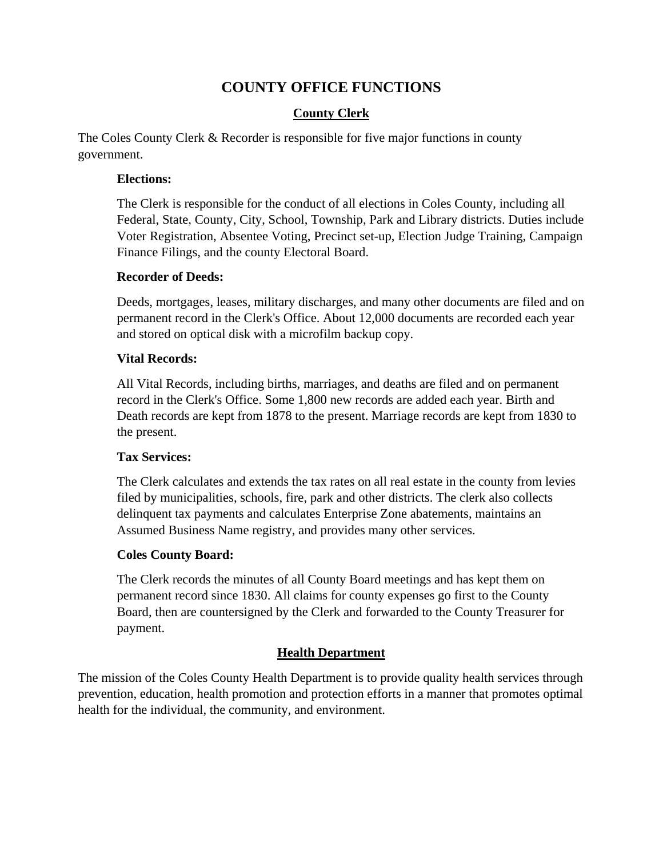# **COUNTY OFFICE FUNCTIONS**

# **County Clerk**

The Coles County Clerk & Recorder is responsible for five major functions in county government.

#### **Elections:**

The Clerk is responsible for the conduct of all elections in Coles County, including all Federal, State, County, City, School, Township, Park and Library districts. Duties include Voter Registration, Absentee Voting, Precinct set-up, Election Judge Training, Campaign Finance Filings, and the county Electoral Board.

#### **Recorder of Deeds:**

Deeds, mortgages, leases, military discharges, and many other documents are filed and on permanent record in the Clerk's Office. About 12,000 documents are recorded each year and stored on optical disk with a microfilm backup copy.

## **Vital Records:**

All Vital Records, including births, marriages, and deaths are filed and on permanent record in the Clerk's Office. Some 1,800 new records are added each year. Birth and Death records are kept from 1878 to the present. Marriage records are kept from 1830 to the present.

## **Tax Services:**

The Clerk calculates and extends the tax rates on all real estate in the county from levies filed by municipalities, schools, fire, park and other districts. The clerk also collects delinquent tax payments and calculates Enterprise Zone abatements, maintains an Assumed Business Name registry, and provides many other services.

## **Coles County Board:**

The Clerk records the minutes of all County Board meetings and has kept them on permanent record since 1830. All claims for county expenses go first to the County Board, then are countersigned by the Clerk and forwarded to the County Treasurer for payment.

## **Health Department**

The mission of the Coles County Health Department is to provide quality health services through prevention, education, health promotion and protection efforts in a manner that promotes optimal health for the individual, the community, and environment.